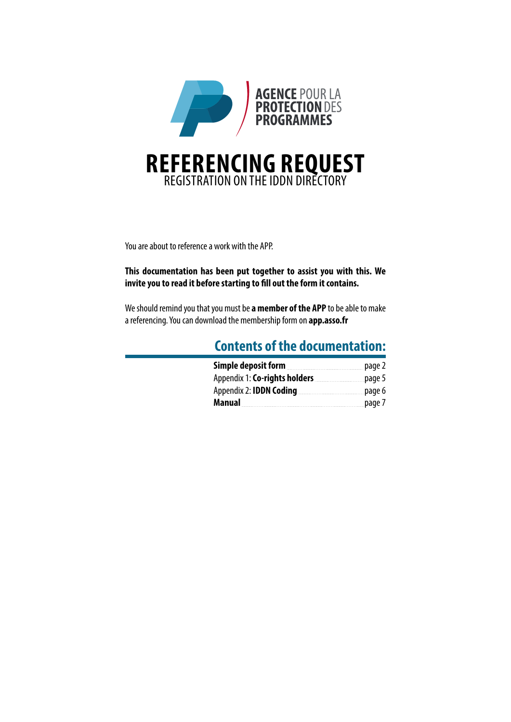

You are about to reference a work with the APP.

**This documentation has been put together to assist you with this. We invite you to read it before starting to fill out the form it contains.**

We should remind you that you must be **a member of the APP** to be able to make a referencing. You can download the membership form on **app.asso.fr**

## **Contents of the documentation:**

| Simple deposit form            | page 2 |
|--------------------------------|--------|
| Appendix 1: Co-rights holders  | page 5 |
| Appendix 2: <b>IDDN Coding</b> | page 6 |
| Manual                         | page 7 |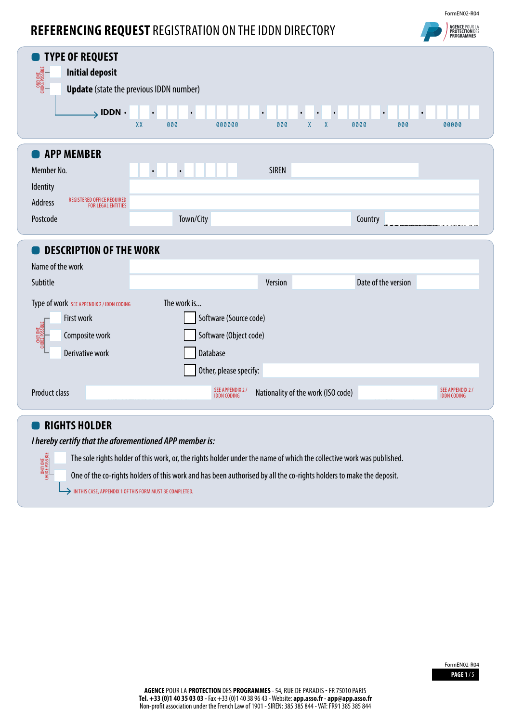## **REFERENCING REQUEST** REGISTRATION ON THE IDDN DIRECTORY



| <b>TYPE OF REQUEST</b><br><b>Initial deposit</b><br>CHOICE POSSIBLE<br>$\rightarrow$ IDDN $\cdot$                             | <b>Update</b> (state the previous IDDN number)<br>$\bullet$<br>$\bullet$<br>$\bullet$<br>$\bullet$<br>$\chi\chi$<br>$\mathsf{X}$<br>$\mathsf{X}$<br>000<br>000000<br>000<br>0000<br>000<br>00000 |  |
|-------------------------------------------------------------------------------------------------------------------------------|--------------------------------------------------------------------------------------------------------------------------------------------------------------------------------------------------|--|
| <b>APP MEMBER</b><br>Member No.<br>Identity<br>REGISTERED OFFICE REQUIRED<br>Address<br><b>FOR LEGAL ENTITIES</b><br>Postcode | <b>SIREN</b><br>$\bullet$<br>$\bullet$<br>Town/City<br>Country                                                                                                                                   |  |
| <b>DESCRIPTION OF THE WORK</b><br>Name of the work                                                                            |                                                                                                                                                                                                  |  |
| Subtitle                                                                                                                      | Date of the version<br>Version                                                                                                                                                                   |  |
| Type of work SEE APPENDIX 2 / IDDN CODING<br>First work<br>CHOICE POSSIBLE<br>Composite work<br>Derivative work               | The work is<br>Software (Source code)<br>Software (Object code)<br>Database<br>Other, please specify:                                                                                            |  |
| <b>Product class</b>                                                                                                          | SEE APPENDIX 2 /<br>IDDN CODING<br>SEE APPENDIX 2 /<br>Nationality of the work (ISO code)<br><b>IDDN CODING</b>                                                                                  |  |

## **RIGHTS HOLDER**

CHOICE POSSIBLE CHOICE POSSIBLE

*I hereby certify that the aforementioned APP member is:*

The sole rights holder of this work, or, the rights holder under the name of which the collective work was published.

One of the co-rights holders of this work and has been authorised by all the co-rights holders to make the deposit.

IN THIS CASE, APPENDIX 1 OF THIS FORM MUST BE COMPLETED.

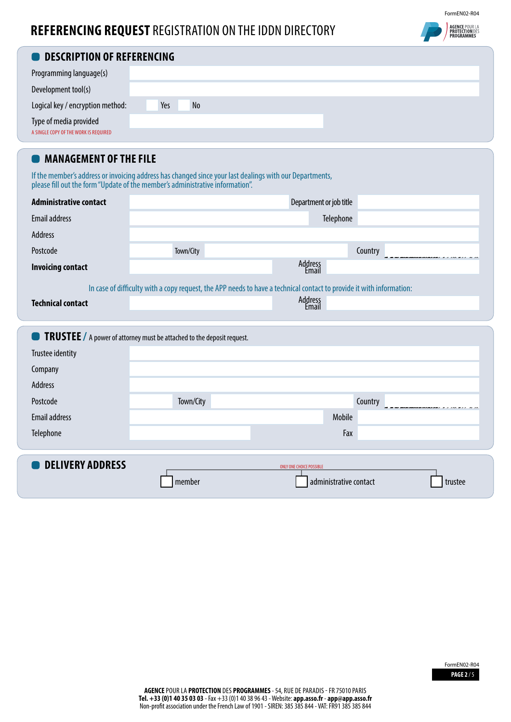## **REFERENCING REQUEST** REGISTRATION ON THE IDDN DIRECTORY



| <b>ODESCRIPTION OF REFERENCING</b>                              |     |    |  |  |  |  |
|-----------------------------------------------------------------|-----|----|--|--|--|--|
| Programming language(s)                                         |     |    |  |  |  |  |
| Development tool(s)                                             |     |    |  |  |  |  |
| Logical key / encryption method:                                | Yes | No |  |  |  |  |
| Type of media provided<br>A SINGLE COPY OF THE WORK IS REQUIRED |     |    |  |  |  |  |

## **MANAGEMENT OF THE FILE**

If the member's address or invoicing address has changed since your last dealings with our Departments, please fill out the form "Update of the member's administrative information".

| <b>Administrative contact</b> |                                                                                 | Department or job title                                                                                              |  |
|-------------------------------|---------------------------------------------------------------------------------|----------------------------------------------------------------------------------------------------------------------|--|
| Email address                 | Telephone                                                                       |                                                                                                                      |  |
| Address                       |                                                                                 |                                                                                                                      |  |
| Postcode                      | Town/City                                                                       | Country                                                                                                              |  |
| <b>Invoicing contact</b>      |                                                                                 | Address<br>Email                                                                                                     |  |
|                               |                                                                                 | In case of difficulty with a copy request, the APP needs to have a technical contact to provide it with information: |  |
| <b>Technical contact</b>      |                                                                                 | Address<br>Email                                                                                                     |  |
|                               |                                                                                 |                                                                                                                      |  |
|                               | <b>O</b> TRUSTEE / A power of attorney must be attached to the deposit request. |                                                                                                                      |  |
| Trustee identity              |                                                                                 |                                                                                                                      |  |
| Company                       |                                                                                 |                                                                                                                      |  |
| Address                       |                                                                                 |                                                                                                                      |  |
| Postcode                      | Town/City                                                                       | Country                                                                                                              |  |
| Email address                 |                                                                                 | Mobile                                                                                                               |  |
| Telephone                     |                                                                                 | Fax                                                                                                                  |  |
|                               |                                                                                 |                                                                                                                      |  |
| <b>DELIVERY ADDRESS</b>       |                                                                                 | <b>ONLY ONE CHOICE POSSIBLE</b>                                                                                      |  |
|                               | member                                                                          | administrative contact<br>trustee                                                                                    |  |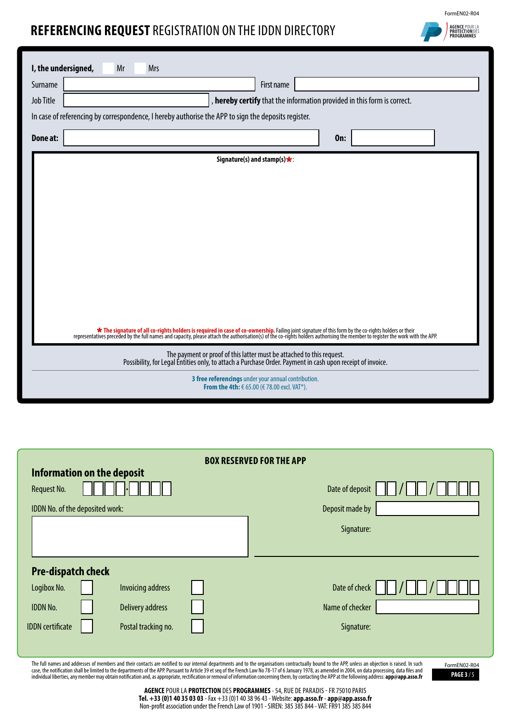## **REFERENCING REQUEST** REGISTRATION ON THE IDDN DIRECTORY



| I, the undersigned, | Mr<br><b>Mrs</b>                                                                                                                                                                                                                   |
|---------------------|------------------------------------------------------------------------------------------------------------------------------------------------------------------------------------------------------------------------------------|
| Surname             | First name                                                                                                                                                                                                                         |
| <b>Job Title</b>    | , hereby certify that the information provided in this form is correct.                                                                                                                                                            |
|                     | In case of referencing by correspondence, I hereby authorise the APP to sign the deposits register.                                                                                                                                |
| Done at:            | <b>On:</b>                                                                                                                                                                                                                         |
|                     |                                                                                                                                                                                                                                    |
|                     | Signature(s) and stamp(s) $\star$ :                                                                                                                                                                                                |
|                     |                                                                                                                                                                                                                                    |
|                     |                                                                                                                                                                                                                                    |
|                     |                                                                                                                                                                                                                                    |
|                     |                                                                                                                                                                                                                                    |
|                     |                                                                                                                                                                                                                                    |
|                     |                                                                                                                                                                                                                                    |
|                     |                                                                                                                                                                                                                                    |
|                     |                                                                                                                                                                                                                                    |
|                     |                                                                                                                                                                                                                                    |
|                     | <b>*</b> The signature of all co-rights holders is required in case of co-ownership. Failing joint signature of this form by the co-rights holders or their representatives preceded by the full names and capacity, please attach |
|                     | The payment or proof of this latter must be attached to this request.<br>Possibility, for Legal Entities only, to attach a Purchase Order. Payment in cash upon receipt of invoice.                                                |
|                     | 3 free referencings under your annual contribution.<br>From the 4th: € 65.00 (€ 78.00 excl. VAT*).                                                                                                                                 |

| <b>BOX RESERVED FOR THE APP</b> |                            |  |                 |  |
|---------------------------------|----------------------------|--|-----------------|--|
|                                 | Information on the deposit |  |                 |  |
| <b>Request No.</b>              |                            |  | Date of deposit |  |
| IDDN No. of the deposited work: |                            |  | Deposit made by |  |
|                                 |                            |  | Signature:      |  |
|                                 |                            |  |                 |  |
| <b>Pre-dispatch check</b>       |                            |  |                 |  |
| Logibox No.                     | <b>Invoicing address</b>   |  | Date of check   |  |
| <b>IDDN No.</b>                 | <b>Delivery address</b>    |  | Name of checker |  |
| <b>IDDN</b> certificate         | Postal tracking no.        |  | Signature:      |  |
|                                 |                            |  |                 |  |

The full names and addresses of members and their contacts are notified to our internal departments and to the organisations contractually bound to the APP, unless an objection is raised. In such<br>case, the notification sha

**PAGE 3** / 5 FormEN02-R04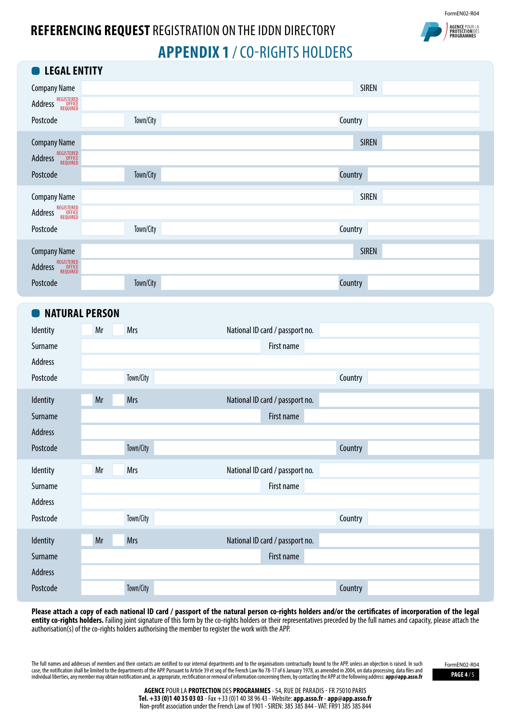

# **AGENCE POUR LA**<br>**PROTECTION DES**

## **REFERENCING REQUEST** REGISTRATION ON THE IDDN DIRECTORY **APPENDIX 1** / CO-RIGHTS HOLDERS

| <b>EXAL ENTITY</b>                          |           |              |
|---------------------------------------------|-----------|--------------|
| <b>Company Name</b>                         |           | <b>SIREN</b> |
| REGISTERED<br>OFFICE<br>REQUIRED<br>Address |           |              |
| Postcode                                    | Town/City | Country      |
| <b>Company Name</b>                         |           | <b>SIREN</b> |
| REGISTERED<br>OFFICE<br>REQUIRED<br>Address |           |              |
| Postcode                                    | Town/City | Country      |
| <b>Company Name</b>                         |           | <b>SIREN</b> |
| REGISTERED<br>OFFICE<br>REQUIRED<br>Address |           |              |
| Postcode                                    | Town/City | Country      |
| <b>Company Name</b>                         |           | <b>SIREN</b> |
| REGISTERED<br>OFFICE<br>REQUIRED<br>Address |           |              |
| Postcode                                    | Town/City | Country      |

## **NATURAL PERSON**

| Identity | Mr<br>Mrs        | National ID card / passport no. |  |
|----------|------------------|---------------------------------|--|
| Surname  |                  | First name                      |  |
| Address  |                  |                                 |  |
| Postcode | Town/City        | Country                         |  |
| Identity | Mrs<br>Mr        | National ID card / passport no. |  |
| Surname  |                  | First name                      |  |
| Address  |                  |                                 |  |
| Postcode | Town/City        | Country                         |  |
|          |                  |                                 |  |
| Identity | Mr<br>Mrs        | National ID card / passport no. |  |
| Surname  |                  | First name                      |  |
| Address  |                  |                                 |  |
| Postcode | Town/City        | Country                         |  |
| Identity | Mr<br><b>Mrs</b> | National ID card / passport no. |  |
| Surname  |                  | First name                      |  |
| Address  |                  |                                 |  |

**Please attach a copy of each national ID card / passport of the natural person co-rights holders and/or the certificates of incorporation of the legal**  entity co-rights holders. Failing joint signature of this form by the co-rights holders or their representatives preceded by the full names and capacity, please attach the authorisation(s) of the co-rights holders authorising the member to register the work with the APP.

The full names and addresses of members and their contacts are notified to our internal departments and to the organisations contractually bound to the APP, unless an objection is raised. In such case, the notification shall be limited to the departments of the APP. Pursuant to Article 39 et seq of the French Law No 78-17 of 6 January 1978, as amended in 2004, on data processing, data files and **PAGE 47 5 and the S** 

FormEN02-R04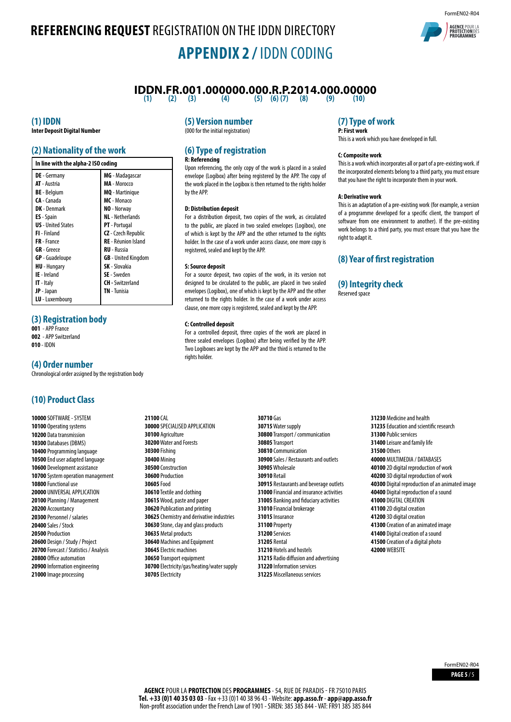## **REFERENCING REQUEST** REGISTRATION ON THE IDDN DIRECTORY **APPENDIX 2 /** IDDN CODING



## **IDDN.FR.001.000000.000.R.P.2014.000.00000**<br>(10) (2) (3) (4) (4) (5) (6) (7) (8) (9) (9) (10)

 $(5)$   $(6)$   $(7)$ 

## **(1) IDDN**

**Inter Deposit Digital Number**

### **(2) Nationality of the work**

| In line with the alpha-2 ISO coding |                            |  |  |
|-------------------------------------|----------------------------|--|--|
| <b>DE</b> - Germany                 | MG - Madagascar            |  |  |
| <b>AT</b> - Austria                 | MA - Morocco               |  |  |
| <b>BE</b> - Belgium                 | <b>MQ</b> - Martinique     |  |  |
| CA - Canada                         | MC - Monaco                |  |  |
| <b>DK</b> - Denmark                 | NO - Norway                |  |  |
| <b>ES</b> - Spain                   | <b>NL</b> - Netherlands    |  |  |
| <b>US</b> - United States           | <b>PT</b> - Portugal       |  |  |
| <b>FI</b> - Finland                 | CZ - Czech Republic        |  |  |
| <b>FR</b> - France                  | <b>RE</b> - Réunion Island |  |  |
| <b>GR</b> - Greece                  | <b>RU</b> - Russia         |  |  |
| <b>GP</b> - Guadeloupe              | <b>GB</b> - United Kingdom |  |  |
| <b>HU</b> - Hungary                 | <b>SK</b> - Slovakia       |  |  |
| <b>IE</b> - Ireland                 | <b>SE</b> - Sweden         |  |  |
| <b>IT</b> - Italy                   | <b>CH</b> - Switzerland    |  |  |
| <b>JP</b> - Japan                   | <b>TN</b> - Tunisia        |  |  |
| <b>LU</b> - Luxembourg              |                            |  |  |

### **(3) Registration body**

**001** - APP France

**002** - APP Switzerland **010** - IDDN

## **(4) Order number**

Chronological order assigned by the registration body

## **(10) Product Class**

 SOFTWARE - SYSTEM Operating systems Data transmission Databases (DBMS) Programming language End user adapted language Development assistance System operation management Functional use UNIVERSAL APPLICATION Planning / Management Accountancy Personnel / salaries Sales / Stock Production Design / Study / Project Forecast / Statistics / Analysis Office automation Information engineering Image processing

## **(5) Version number**

(000 for the initial registration)

### **(6) Type of registration R: Referencing**

Upon referencing, the only copy of the work is placed in a sealed envelope (Logibox) after being registered by the APP. The copy of the work placed in the Logibox is then returned to the rights holder by the APP.

#### **D: Distribution deposit**

For a distribution deposit, two copies of the work, as circulated to the public, are placed in two sealed envelopes (Logibox), one of which is kept by the APP and the other returned to the rights holder. In the case of a work under access clause, one more copy is registered, sealed and kept by the APP.

#### **S: Source deposit**

For a source deposit, two copies of the work, in its version not designed to be circulated to the public, are placed in two sealed envelopes (Logibox), one of which is kept by the APP and the other returned to the rights holder. In the case of a work under access clause, one more copy is registered, sealed and kept by the APP.

#### **C: Controlled deposit**

For a controlled deposit, three copies of the work are placed in three sealed envelopes (Logibox) after being verified by the APP. Two Logiboxes are kept by the APP and the third is returned to the rights holder

**21100** CAL SPECIALISED APPLICATION Agriculture Water and Forests **30300** Fishing **30400** Mining Construction Production **30605** Food Textile and clothing Wood, paste and paper Publication and printing Chemistry and derivative industries Stone, clay and glass products Metal products Machines and Equipment Electric machines Transport equipment Electricity/gas/heating/water supply Electricity

**30710** Gas Water supply Transport / communication Transport Communication Sales / Restaurants and outlets Wholesale **30910** Retail Restaurants and beverage outlets Financial and insurance activities Banking and fiduciary activities Financial brokerage Insurance **31100** Property **31200** Services **31205** Rental Hotels and hostels Radio diffusion and advertising Information services Miscellaneous services

## **(7) Type of work**

**P: First work** This is a work which you have developed in full.

#### **C: Composite work**

This is a work which incorporates all or part of a pre-existing work. if the incorporated elements belong to a third party, you must ensure that you have the right to incorporate them in your work.

#### **A: Derivative work**

This is an adaptation of a pre-existing work (for example, a version of a programme developed for a specific client, the transport of software from one environment to another). If the pre-existing work belongs to a third party, you must ensure that you have the right to adapt it.

## **(8) Year of first registration**

### **(9) Integrity check**

Reserved space

 Medicine and health Education and scientific research Public services Leisure and family life **31500** Others MULTIMEDIA / DATABASES 2D digital reproduction of work 3D digital reproduction of work Digital reproduction of an animated image Digital reproduction of a sound DIGITAL CREATION 2D digital creation 3D digital creation Creation of an animated image Digital creation of a sound Creation of a digital photo **42000** WEBSITE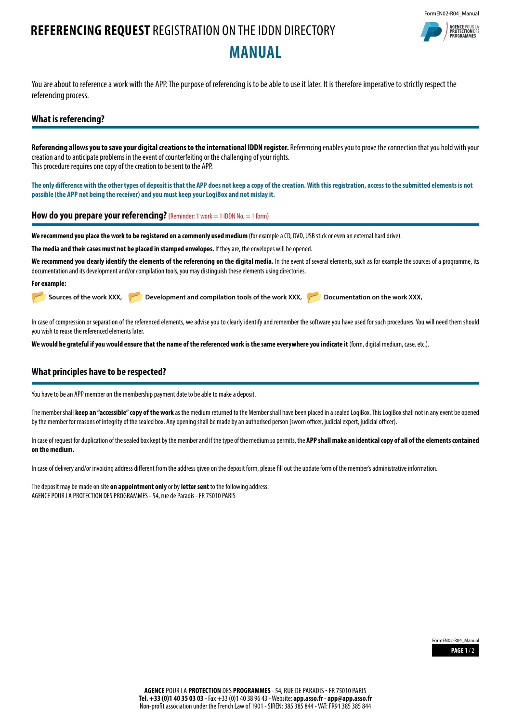## **REFERENCING REQUEST** REGISTRATION ON THE IDDN DIRECTORY **MANUAL**

FormEN02-R04\_Manual **AGENCE POUR**<br>**PROTECTION** 

You are about to reference a work with the APP. The purpose of referencing is to be able to use it later. It is therefore imperative to strictly respect the referencing process.

### **What is referencing?**

Referencing allows you to save your digital creations to the international IDDN register. Referencing enables you to prove the connection that you hold with your creation and to anticipate problems in the event of counterfeiting or the challenging of your rights. This procedure requires one copy of the creation to be sent to the APP.

**The only difference with the other types of deposit is that the APP does not keep a copy of the creation. With this registration, access to the submitted elements is not possible (the APP not being the receiver) and you must keep your LogiBox and not mislay it.**

**How do you prepare your referencing?** (Reminder: 1 work = 1 IDDN No. = 1 form)

**We recommend you place the work to be registered on a commonly used medium** (for example a CD, DVD, USB stick or even an external hard drive).

**The media and their cases must not be placed in stamped envelopes.** If they are, the envelopes will be opened.

We recommend you clearly identify the elements of the referencing on the digital media. In the event of several elements, such as for example the sources of a programme, its documentation and its development and/or compilation tools, you may distinguish these elements using directories.

#### **For example:**

Sources of the work XXX, **Development and compilation tools of the work XXX, Developmentation on the work XXX,** 

In case of compression or separation of the referenced elements, we advise you to clearly identify and remember the software you have used for such procedures. You will need them should you wish to reuse the referenced elements later.

**We would be grateful if you would ensure that the name of the referenced work is the same everywhere you indicate it** (form, digital medium, case, etc.).

## **What principles have to be respected?**

You have to be an APP member on the membership payment date to be able to make a deposit.

The member shall **keep an "accessible" copy of the work** as the medium returned to the Member shall have been placed in a sealed LogiBox. This LogiBox shall not in any event be opened by the member for reasons of integrity of the sealed box. Any opening shall be made by an authorised person (sworn officer, judicial expert, judicial officer).

In case of request for duplication of the sealed box kept by the member and if the type of the medium so permits, the **APP shall make an identical copy of all of the elements contained on the medium.**

In case of delivery and/or invoicing address different from the address given on the deposit form, please fill out the update form of the member's administrative information.

The deposit may be made on site **on appointment only** or by **letter sent** to the following address: AGENCE POUR LA PROTECTION DES PROGRAMMES - 54, rue de Paradis - FR 75010 PARIS

> **PAGE 1** / 2 FormEN02-R04\_Manual